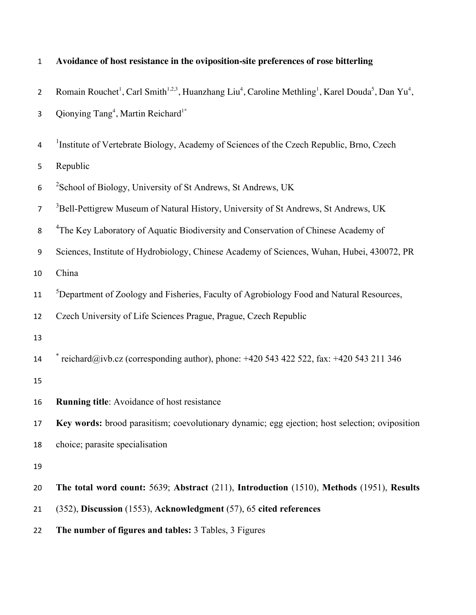| $\overline{2}$   | Romain Rouchet <sup>1</sup> , Carl Smith <sup>1,2,3</sup> , Huanzhang Liu <sup>4</sup> , Caroline Methling <sup>1</sup> , Karel Douda <sup>5</sup> , Dan Yu <sup>4</sup> , |
|------------------|----------------------------------------------------------------------------------------------------------------------------------------------------------------------------|
| 3                | Qionying Tang <sup>4</sup> , Martin Reichard <sup>1*</sup>                                                                                                                 |
| 4                | <sup>1</sup> Institute of Vertebrate Biology, Academy of Sciences of the Czech Republic, Brno, Czech                                                                       |
| 5                | Republic                                                                                                                                                                   |
| $\boldsymbol{6}$ | <sup>2</sup> School of Biology, University of St Andrews, St Andrews, UK                                                                                                   |
| $\overline{7}$   | <sup>3</sup> Bell-Pettigrew Museum of Natural History, University of St Andrews, St Andrews, UK                                                                            |
| 8                | <sup>4</sup> The Key Laboratory of Aquatic Biodiversity and Conservation of Chinese Academy of                                                                             |
| 9                | Sciences, Institute of Hydrobiology, Chinese Academy of Sciences, Wuhan, Hubei, 430072, PR                                                                                 |
| 10               | China                                                                                                                                                                      |
| 11               | <sup>5</sup> Department of Zoology and Fisheries, Faculty of Agrobiology Food and Natural Resources,                                                                       |
| 12               | Czech University of Life Sciences Prague, Prague, Czech Republic                                                                                                           |
| 13               |                                                                                                                                                                            |
| 14               | reichard@ivb.cz (corresponding author), phone: +420 543 422 522, fax: +420 543 211 346                                                                                     |
| 15               |                                                                                                                                                                            |
| 16               | Running title: Avoidance of host resistance                                                                                                                                |
| 17               | Key words: brood parasitism; coevolutionary dynamic; egg ejection; host selection; oviposition                                                                             |
| 18               | choice; parasite specialisation                                                                                                                                            |
| 19               |                                                                                                                                                                            |
| 20               | The total word count: 5639; Abstract (211), Introduction (1510), Methods (1951), Results                                                                                   |
| 21               | (352), Discussion (1553), Acknowledgment (57), 65 cited references                                                                                                         |
| 22               | The number of figures and tables: 3 Tables, 3 Figures                                                                                                                      |

# 1 **Avoidance of host resistance in the oviposition-site preferences of rose bitterling**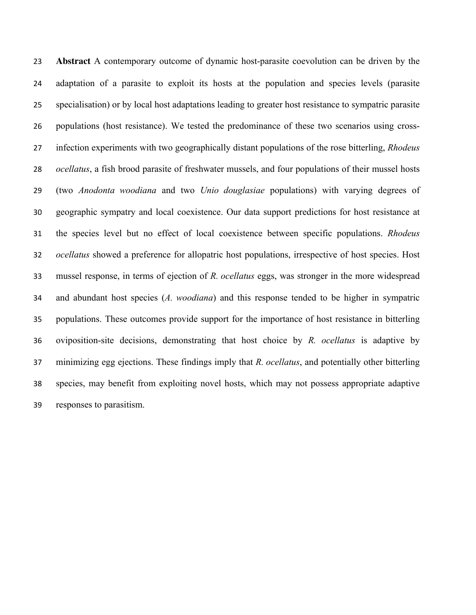**Abstract** A contemporary outcome of dynamic host-parasite coevolution can be driven by the adaptation of a parasite to exploit its hosts at the population and species levels (parasite specialisation) or by local host adaptations leading to greater host resistance to sympatric parasite populations (host resistance). We tested the predominance of these two scenarios using cross- infection experiments with two geographically distant populations of the rose bitterling, *Rhodeus ocellatus*, a fish brood parasite of freshwater mussels, and four populations of their mussel hosts (two *Anodonta woodiana* and two *Unio douglasiae* populations) with varying degrees of geographic sympatry and local coexistence. Our data support predictions for host resistance at the species level but no effect of local coexistence between specific populations. *Rhodeus ocellatus* showed a preference for allopatric host populations, irrespective of host species. Host mussel response, in terms of ejection of *R. ocellatus* eggs, was stronger in the more widespread and abundant host species (*A. woodiana*) and this response tended to be higher in sympatric populations. These outcomes provide support for the importance of host resistance in bitterling oviposition-site decisions, demonstrating that host choice by *R. ocellatus* is adaptive by minimizing egg ejections. These findings imply that *R. ocellatus*, and potentially other bitterling species, may benefit from exploiting novel hosts, which may not possess appropriate adaptive responses to parasitism.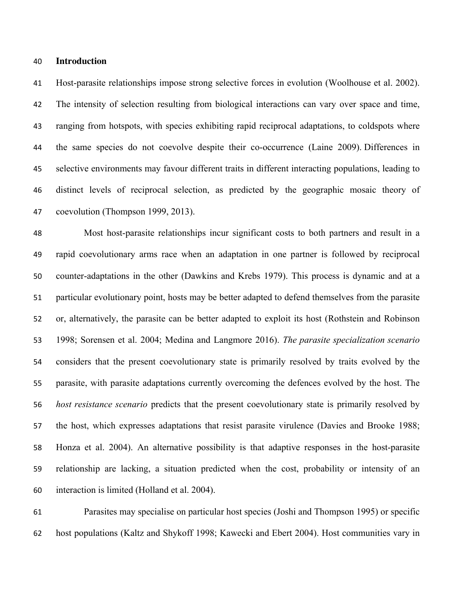#### **Introduction**

 Host-parasite relationships impose strong selective forces in evolution (Woolhouse et al. 2002). The intensity of selection resulting from biological interactions can vary over space and time, ranging from hotspots, with species exhibiting rapid reciprocal adaptations, to coldspots where the same species do not coevolve despite their co-occurrence (Laine 2009). Differences in selective environments may favour different traits in different interacting populations, leading to distinct levels of reciprocal selection, as predicted by the geographic mosaic theory of coevolution (Thompson 1999, 2013).

 Most host-parasite relationships incur significant costs to both partners and result in a rapid coevolutionary arms race when an adaptation in one partner is followed by reciprocal counter-adaptations in the other (Dawkins and Krebs 1979). This process is dynamic and at a particular evolutionary point, hosts may be better adapted to defend themselves from the parasite or, alternatively, the parasite can be better adapted to exploit its host (Rothstein and Robinson 1998; Sorensen et al. 2004; Medina and Langmore 2016). *The parasite specialization scenario* considers that the present coevolutionary state is primarily resolved by traits evolved by the parasite, with parasite adaptations currently overcoming the defences evolved by the host. The *host resistance scenario* predicts that the present coevolutionary state is primarily resolved by the host, which expresses adaptations that resist parasite virulence (Davies and Brooke 1988; Honza et al. 2004). An alternative possibility is that adaptive responses in the host-parasite relationship are lacking, a situation predicted when the cost, probability or intensity of an interaction is limited (Holland et al. 2004).

 Parasites may specialise on particular host species (Joshi and Thompson 1995) or specific host populations (Kaltz and Shykoff 1998; Kawecki and Ebert 2004). Host communities vary in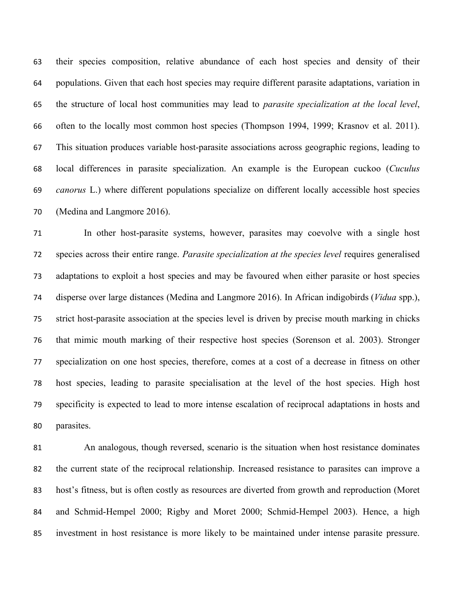their species composition, relative abundance of each host species and density of their populations. Given that each host species may require different parasite adaptations, variation in the structure of local host communities may lead to *parasite specialization at the local level*, often to the locally most common host species (Thompson 1994, 1999; Krasnov et al. 2011). This situation produces variable host-parasite associations across geographic regions, leading to local differences in parasite specialization. An example is the European cuckoo (*Cuculus canorus* L.) where different populations specialize on different locally accessible host species (Medina and Langmore 2016).

 In other host-parasite systems, however, parasites may coevolve with a single host species across their entire range. *Parasite specialization at the species level* requires generalised adaptations to exploit a host species and may be favoured when either parasite or host species disperse over large distances (Medina and Langmore 2016). In African indigobirds (*Vidua* spp.), strict host-parasite association at the species level is driven by precise mouth marking in chicks that mimic mouth marking of their respective host species (Sorenson et al. 2003). Stronger specialization on one host species, therefore, comes at a cost of a decrease in fitness on other host species, leading to parasite specialisation at the level of the host species. High host specificity is expected to lead to more intense escalation of reciprocal adaptations in hosts and parasites.

 An analogous, though reversed, scenario is the situation when host resistance dominates the current state of the reciprocal relationship. Increased resistance to parasites can improve a host's fitness, but is often costly as resources are diverted from growth and reproduction (Moret and Schmid-Hempel 2000; Rigby and Moret 2000; Schmid-Hempel 2003). Hence, a high investment in host resistance is more likely to be maintained under intense parasite pressure.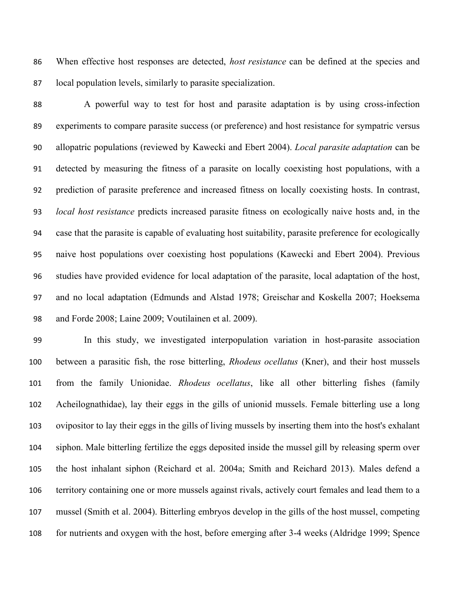When effective host responses are detected, *host resistance* can be defined at the species and local population levels, similarly to parasite specialization.

 A powerful way to test for host and parasite adaptation is by using cross-infection experiments to compare parasite success (or preference) and host resistance for sympatric versus allopatric populations (reviewed by Kawecki and Ebert 2004). *Local parasite adaptation* can be detected by measuring the fitness of a parasite on locally coexisting host populations, with a prediction of parasite preference and increased fitness on locally coexisting hosts. In contrast, *local host resistance* predicts increased parasite fitness on ecologically naive hosts and, in the case that the parasite is capable of evaluating host suitability, parasite preference for ecologically naive host populations over coexisting host populations (Kawecki and Ebert 2004). Previous studies have provided evidence for local adaptation of the parasite, local adaptation of the host, and no local adaptation (Edmunds and Alstad 1978; Greischar and Koskella 2007; Hoeksema and Forde 2008; Laine 2009; Voutilainen et al. 2009).

 In this study, we investigated interpopulation variation in host-parasite association between a parasitic fish, the rose bitterling, *Rhodeus ocellatus* (Kner), and their host mussels from the family Unionidae. *Rhodeus ocellatus*, like all other bitterling fishes (family Acheilognathidae), lay their eggs in the gills of unionid mussels. Female bitterling use a long ovipositor to lay their eggs in the gills of living mussels by inserting them into the host's exhalant siphon. Male bitterling fertilize the eggs deposited inside the mussel gill by releasing sperm over the host inhalant siphon (Reichard et al. 2004a; Smith and Reichard 2013). Males defend a territory containing one or more mussels against rivals, actively court females and lead them to a mussel (Smith et al. 2004). Bitterling embryos develop in the gills of the host mussel, competing for nutrients and oxygen with the host, before emerging after 3-4 weeks (Aldridge 1999; Spence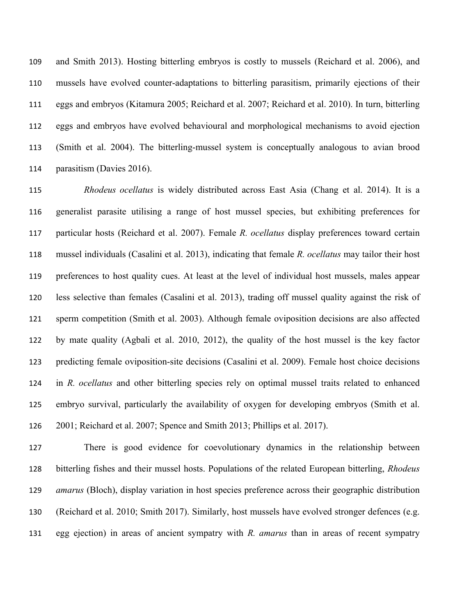and Smith 2013). Hosting bitterling embryos is costly to mussels (Reichard et al. 2006), and mussels have evolved counter-adaptations to bitterling parasitism, primarily ejections of their eggs and embryos (Kitamura 2005; Reichard et al. 2007; Reichard et al. 2010). In turn, bitterling eggs and embryos have evolved behavioural and morphological mechanisms to avoid ejection (Smith et al. 2004). The bitterling-mussel system is conceptually analogous to avian brood parasitism (Davies 2016).

 *Rhodeus ocellatus* is widely distributed across East Asia (Chang et al. 2014). It is a generalist parasite utilising a range of host mussel species, but exhibiting preferences for particular hosts (Reichard et al. 2007). Female *R. ocellatus* display preferences toward certain mussel individuals (Casalini et al. 2013), indicating that female *R. ocellatus* may tailor their host preferences to host quality cues. At least at the level of individual host mussels, males appear less selective than females (Casalini et al. 2013), trading off mussel quality against the risk of sperm competition (Smith et al. 2003). Although female oviposition decisions are also affected by mate quality (Agbali et al. 2010, 2012), the quality of the host mussel is the key factor predicting female oviposition-site decisions (Casalini et al. 2009). Female host choice decisions in *R. ocellatus* and other bitterling species rely on optimal mussel traits related to enhanced embryo survival, particularly the availability of oxygen for developing embryos (Smith et al. 2001; Reichard et al. 2007; Spence and Smith 2013; Phillips et al. 2017).

 There is good evidence for coevolutionary dynamics in the relationship between bitterling fishes and their mussel hosts. Populations of the related European bitterling, *Rhodeus amarus* (Bloch), display variation in host species preference across their geographic distribution (Reichard et al. 2010; Smith 2017). Similarly, host mussels have evolved stronger defences (e.g. egg ejection) in areas of ancient sympatry with *R. amarus* than in areas of recent sympatry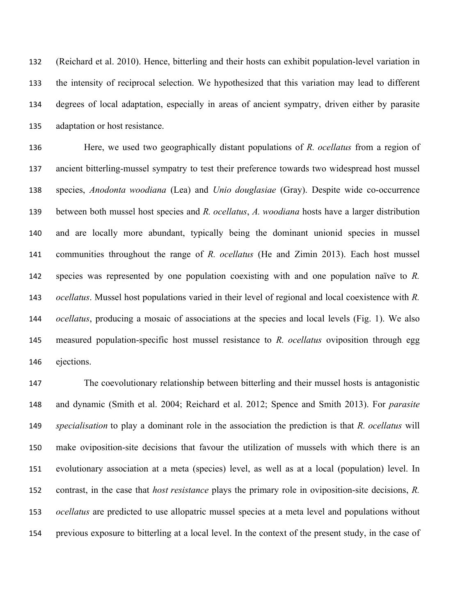(Reichard et al. 2010). Hence, bitterling and their hosts can exhibit population-level variation in the intensity of reciprocal selection. We hypothesized that this variation may lead to different degrees of local adaptation, especially in areas of ancient sympatry, driven either by parasite adaptation or host resistance.

 Here, we used two geographically distant populations of *R. ocellatus* from a region of ancient bitterling-mussel sympatry to test their preference towards two widespread host mussel species, *Anodonta woodiana* (Lea) and *Unio douglasiae* (Gray). Despite wide co-occurrence between both mussel host species and *R. ocellatus*, *A. woodiana* hosts have a larger distribution and are locally more abundant, typically being the dominant unionid species in mussel communities throughout the range of *R. ocellatus* (He and Zimin 2013). Each host mussel species was represented by one population coexisting with and one population naïve to *R. ocellatus*. Mussel host populations varied in their level of regional and local coexistence with *R. ocellatus*, producing a mosaic of associations at the species and local levels (Fig. 1). We also measured population-specific host mussel resistance to *R. ocellatus* oviposition through egg ejections.

 The coevolutionary relationship between bitterling and their mussel hosts is antagonistic and dynamic (Smith et al. 2004; Reichard et al. 2012; Spence and Smith 2013). For *parasite specialisation* to play a dominant role in the association the prediction is that *R. ocellatus* will make oviposition-site decisions that favour the utilization of mussels with which there is an evolutionary association at a meta (species) level, as well as at a local (population) level. In contrast, in the case that *host resistance* plays the primary role in oviposition-site decisions, *R. ocellatus* are predicted to use allopatric mussel species at a meta level and populations without previous exposure to bitterling at a local level. In the context of the present study, in the case of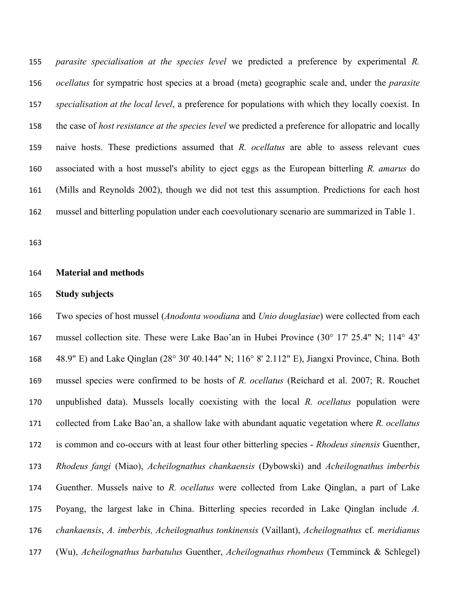*parasite specialisation at the species level* we predicted a preference by experimental *R. ocellatus* for sympatric host species at a broad (meta) geographic scale and, under the *parasite specialisation at the local level*, a preference for populations with which they locally coexist. In the case of *host resistance at the species level* we predicted a preference for allopatric and locally naive hosts. These predictions assumed that *R. ocellatus* are able to assess relevant cues associated with a host mussel's ability to eject eggs as the European bitterling *R. amarus* do (Mills and Reynolds 2002), though we did not test this assumption. Predictions for each host mussel and bitterling population under each coevolutionary scenario are summarized in Table 1.

#### **Material and methods**

#### **Study subjects**

 Two species of host mussel (*Anodonta woodiana* and *Unio douglasiae*) were collected from each mussel collection site. These were Lake Bao'an in Hubei Province (30° 17' 25.4" N; 114° 43' 48.9" E) and Lake Qinglan (28° 30' 40.144" N; 116° 8' 2.112" E), Jiangxi Province, China. Both mussel species were confirmed to be hosts of *R. ocellatus* (Reichard et al. 2007; R. Rouchet unpublished data). Mussels locally coexisting with the local *R. ocellatus* population were collected from Lake Bao'an, a shallow lake with abundant aquatic vegetation where *R. ocellatus* is common and co-occurs with at least four other bitterling species - *Rhodeus sinensis* Guenther, *Rhodeus fangi* (Miao), *Acheilognathus chankaensis* (Dybowski) and *Acheilognathus imberbis* Guenther. Mussels naive to *R. ocellatus* were collected from Lake Qinglan, a part of Lake Poyang, the largest lake in China. Bitterling species recorded in Lake Qinglan include *A. chankaensis*, *A. imberbis, Acheilognathus tonkinensis* (Vaillant), *Acheilognathus* cf. *meridianus* (Wu), *Acheilognathus barbatulus* Guenther, *Acheilognathus rhombeus* (Temminck & Schlegel)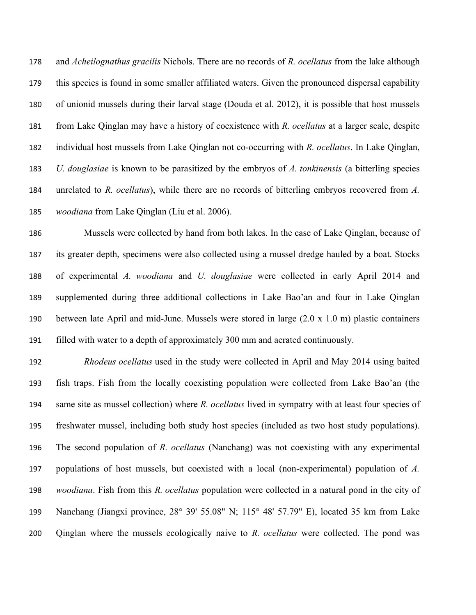and *Acheilognathus gracilis* Nichols. There are no records of *R. ocellatus* from the lake although this species is found in some smaller affiliated waters. Given the pronounced dispersal capability of unionid mussels during their larval stage (Douda et al. 2012), it is possible that host mussels from Lake Qinglan may have a history of coexistence with *R. ocellatus* at a larger scale, despite individual host mussels from Lake Qinglan not co-occurring with *R. ocellatus*. In Lake Qinglan, *U. douglasiae* is known to be parasitized by the embryos of *A. tonkinensis* (a bitterling species unrelated to *R. ocellatus*), while there are no records of bitterling embryos recovered from *A. woodiana* from Lake Qinglan (Liu et al. 2006).

 Mussels were collected by hand from both lakes. In the case of Lake Qinglan, because of its greater depth, specimens were also collected using a mussel dredge hauled by a boat. Stocks of experimental *A. woodiana* and *U. douglasiae* were collected in early April 2014 and supplemented during three additional collections in Lake Bao'an and four in Lake Qinglan between late April and mid-June. Mussels were stored in large (2.0 x 1.0 m) plastic containers filled with water to a depth of approximately 300 mm and aerated continuously.

 *Rhodeus ocellatus* used in the study were collected in April and May 2014 using baited fish traps. Fish from the locally coexisting population were collected from Lake Bao'an (the same site as mussel collection) where *R. ocellatus* lived in sympatry with at least four species of freshwater mussel, including both study host species (included as two host study populations). The second population of *R. ocellatus* (Nanchang) was not coexisting with any experimental populations of host mussels, but coexisted with a local (non-experimental) population of *A. woodiana*. Fish from this *R. ocellatus* population were collected in a natural pond in the city of Nanchang (Jiangxi province, 28° 39' 55.08" N; 115° 48' 57.79" E), located 35 km from Lake Qinglan where the mussels ecologically naive to *R. ocellatus* were collected. The pond was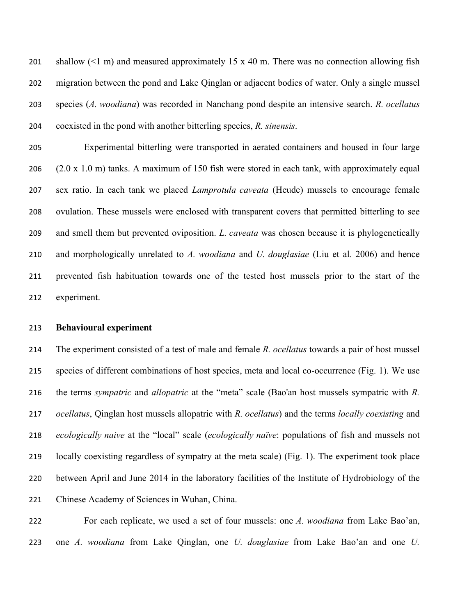201 shallow  $(\leq 1 \text{ m})$  and measured approximately 15 x 40 m. There was no connection allowing fish migration between the pond and Lake Qinglan or adjacent bodies of water. Only a single mussel species (*A. woodiana*) was recorded in Nanchang pond despite an intensive search. *R. ocellatus* coexisted in the pond with another bitterling species, *R. sinensis*.

 Experimental bitterling were transported in aerated containers and housed in four large (2.0 x 1.0 m) tanks. A maximum of 150 fish were stored in each tank, with approximately equal sex ratio. In each tank we placed *Lamprotula caveata* (Heude) mussels to encourage female ovulation. These mussels were enclosed with transparent covers that permitted bitterling to see and smell them but prevented oviposition. *L. caveata* was chosen because it is phylogenetically and morphologically unrelated to *A. woodiana* and *U. douglasiae* (Liu et al*.* 2006) and hence prevented fish habituation towards one of the tested host mussels prior to the start of the experiment.

#### **Behavioural experiment**

 The experiment consisted of a test of male and female *R. ocellatus* towards a pair of host mussel species of different combinations of host species, meta and local co-occurrence (Fig. 1). We use the terms *sympatric* and *allopatric* at the "meta" scale (Bao'an host mussels sympatric with *R. ocellatus*, Qinglan host mussels allopatric with *R. ocellatus*) and the terms *locally coexisting* and *ecologically naive* at the "local" scale (*ecologically naïve*: populations of fish and mussels not locally coexisting regardless of sympatry at the meta scale) (Fig. 1). The experiment took place between April and June 2014 in the laboratory facilities of the Institute of Hydrobiology of the Chinese Academy of Sciences in Wuhan, China.

 For each replicate, we used a set of four mussels: one *A. woodiana* from Lake Bao'an, one *A. woodiana* from Lake Qinglan, one *U. douglasiae* from Lake Bao'an and one *U.*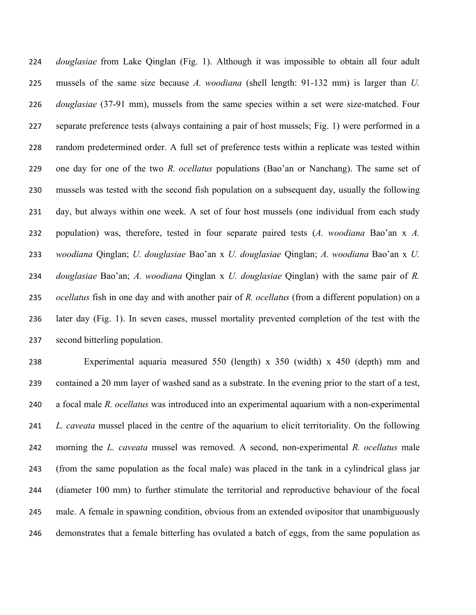*douglasiae* from Lake Qinglan (Fig. 1). Although it was impossible to obtain all four adult mussels of the same size because *A. woodiana* (shell length: 91-132 mm) is larger than *U. douglasiae* (37-91 mm), mussels from the same species within a set were size-matched. Four separate preference tests (always containing a pair of host mussels; Fig. 1) were performed in a random predetermined order. A full set of preference tests within a replicate was tested within one day for one of the two *R. ocellatus* populations (Bao'an or Nanchang). The same set of mussels was tested with the second fish population on a subsequent day, usually the following day, but always within one week. A set of four host mussels (one individual from each study population) was, therefore, tested in four separate paired tests (*A. woodiana* Bao'an x *A. woodiana* Qinglan; *U. douglasiae* Bao'an x *U. douglasiae* Qinglan; *A. woodiana* Bao'an x *U. douglasiae* Bao'an; *A. woodiana* Qinglan x *U. douglasiae* Qinglan) with the same pair of *R. ocellatus* fish in one day and with another pair of *R. ocellatus* (from a different population) on a later day (Fig. 1). In seven cases, mussel mortality prevented completion of the test with the second bitterling population.

 Experimental aquaria measured 550 (length) x 350 (width) x 450 (depth) mm and contained a 20 mm layer of washed sand as a substrate. In the evening prior to the start of a test, a focal male *R. ocellatus* was introduced into an experimental aquarium with a non-experimental *L. caveata* mussel placed in the centre of the aquarium to elicit territoriality. On the following morning the *L. caveata* mussel was removed. A second, non-experimental *R. ocellatus* male (from the same population as the focal male) was placed in the tank in a cylindrical glass jar (diameter 100 mm) to further stimulate the territorial and reproductive behaviour of the focal male. A female in spawning condition, obvious from an extended ovipositor that unambiguously demonstrates that a female bitterling has ovulated a batch of eggs, from the same population as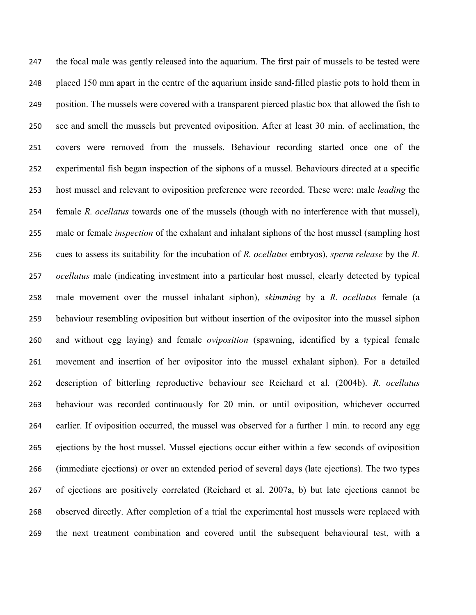the focal male was gently released into the aquarium. The first pair of mussels to be tested were placed 150 mm apart in the centre of the aquarium inside sand-filled plastic pots to hold them in position. The mussels were covered with a transparent pierced plastic box that allowed the fish to see and smell the mussels but prevented oviposition. After at least 30 min. of acclimation, the covers were removed from the mussels. Behaviour recording started once one of the experimental fish began inspection of the siphons of a mussel. Behaviours directed at a specific host mussel and relevant to oviposition preference were recorded. These were: male *leading* the female *R. ocellatus* towards one of the mussels (though with no interference with that mussel), male or female *inspection* of the exhalant and inhalant siphons of the host mussel (sampling host cues to assess its suitability for the incubation of *R. ocellatus* embryos), *sperm release* by the *R. ocellatus* male (indicating investment into a particular host mussel, clearly detected by typical male movement over the mussel inhalant siphon), *skimming* by a *R. ocellatus* female (a behaviour resembling oviposition but without insertion of the ovipositor into the mussel siphon and without egg laying) and female *oviposition* (spawning, identified by a typical female movement and insertion of her ovipositor into the mussel exhalant siphon). For a detailed description of bitterling reproductive behaviour see Reichard et al*.* (2004b). *R. ocellatus* behaviour was recorded continuously for 20 min. or until oviposition, whichever occurred earlier. If oviposition occurred, the mussel was observed for a further 1 min. to record any egg ejections by the host mussel. Mussel ejections occur either within a few seconds of oviposition (immediate ejections) or over an extended period of several days (late ejections). The two types of ejections are positively correlated (Reichard et al. 2007a, b) but late ejections cannot be observed directly. After completion of a trial the experimental host mussels were replaced with the next treatment combination and covered until the subsequent behavioural test, with a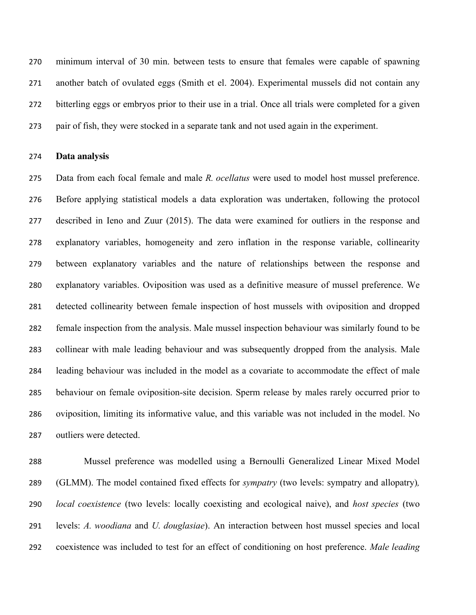minimum interval of 30 min. between tests to ensure that females were capable of spawning another batch of ovulated eggs (Smith et el. 2004). Experimental mussels did not contain any bitterling eggs or embryos prior to their use in a trial. Once all trials were completed for a given pair of fish, they were stocked in a separate tank and not used again in the experiment.

#### **Data analysis**

 Data from each focal female and male *R. ocellatus* were used to model host mussel preference. Before applying statistical models a data exploration was undertaken, following the protocol described in Ieno and Zuur (2015). The data were examined for outliers in the response and explanatory variables, homogeneity and zero inflation in the response variable, collinearity between explanatory variables and the nature of relationships between the response and explanatory variables. Oviposition was used as a definitive measure of mussel preference. We detected collinearity between female inspection of host mussels with oviposition and dropped female inspection from the analysis. Male mussel inspection behaviour was similarly found to be collinear with male leading behaviour and was subsequently dropped from the analysis. Male leading behaviour was included in the model as a covariate to accommodate the effect of male behaviour on female oviposition-site decision. Sperm release by males rarely occurred prior to oviposition, limiting its informative value, and this variable was not included in the model. No outliers were detected.

 Mussel preference was modelled using a Bernoulli Generalized Linear Mixed Model (GLMM). The model contained fixed effects for *sympatry* (two levels: sympatry and allopatry)*, local coexistence* (two levels: locally coexisting and ecological naive), and *host species* (two levels: *A. woodiana* and *U. douglasiae*). An interaction between host mussel species and local coexistence was included to test for an effect of conditioning on host preference. *Male leading*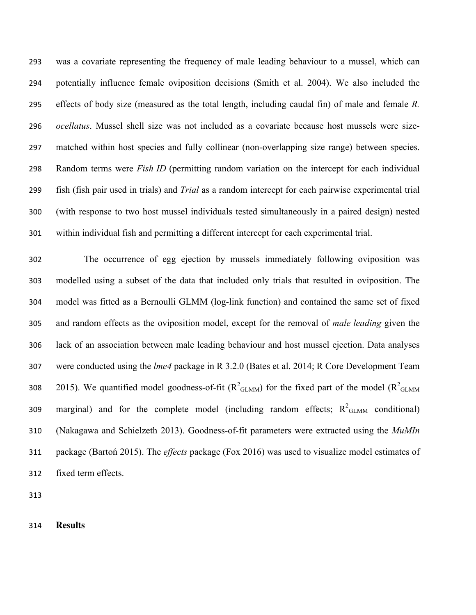was a covariate representing the frequency of male leading behaviour to a mussel, which can potentially influence female oviposition decisions (Smith et al. 2004). We also included the effects of body size (measured as the total length, including caudal fin) of male and female *R. ocellatus*. Mussel shell size was not included as a covariate because host mussels were size- matched within host species and fully collinear (non-overlapping size range) between species. Random terms were *Fish ID* (permitting random variation on the intercept for each individual fish (fish pair used in trials) and *Trial* as a random intercept for each pairwise experimental trial (with response to two host mussel individuals tested simultaneously in a paired design) nested within individual fish and permitting a different intercept for each experimental trial.

 The occurrence of egg ejection by mussels immediately following oviposition was modelled using a subset of the data that included only trials that resulted in oviposition. The model was fitted as a Bernoulli GLMM (log-link function) and contained the same set of fixed and random effects as the oviposition model, except for the removal of *male leading* given the lack of an association between male leading behaviour and host mussel ejection. Data analyses were conducted using the *lme4* package in R 3.2.0 (Bates et al. 2014; R Core Development Team 308 2015). We quantified model goodness-of-fit ( $R^2$ <sub>GLMM</sub>) for the fixed part of the model ( $R^2$ <sub>GLMM</sub> 309 marginal) and for the complete model (including random effects;  $R^2$ <sub>GLMM</sub> conditional) (Nakagawa and Schielzeth 2013). Goodness-of-fit parameters were extracted using the *MuMIn*  package (Bartoń 2015). The *effects* package (Fox 2016) was used to visualize model estimates of fixed term effects.

**Results**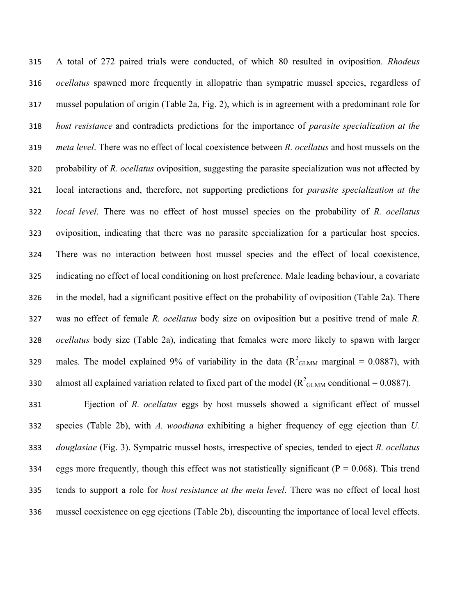A total of 272 paired trials were conducted, of which 80 resulted in oviposition. *Rhodeus ocellatus* spawned more frequently in allopatric than sympatric mussel species, regardless of mussel population of origin (Table 2a, Fig. 2), which is in agreement with a predominant role for *host resistance* and contradicts predictions for the importance of *parasite specialization at the meta level*. There was no effect of local coexistence between *R. ocellatus* and host mussels on the probability of *R. ocellatus* oviposition, suggesting the parasite specialization was not affected by local interactions and, therefore, not supporting predictions for *parasite specialization at the local level*. There was no effect of host mussel species on the probability of *R. ocellatus* oviposition, indicating that there was no parasite specialization for a particular host species. There was no interaction between host mussel species and the effect of local coexistence, indicating no effect of local conditioning on host preference. Male leading behaviour, a covariate in the model, had a significant positive effect on the probability of oviposition (Table 2a). There was no effect of female *R. ocellatus* body size on oviposition but a positive trend of male *R. ocellatus* body size (Table 2a), indicating that females were more likely to spawn with larger 329 males. The model explained 9% of variability in the data ( $R^2$ <sub>GLMM</sub> marginal = 0.0887), with almost all explained variation related to fixed part of the model ( $R^2$ <sub>GLMM</sub> conditional = 0.0887).

 Ejection of *R. ocellatus* eggs by host mussels showed a significant effect of mussel species (Table 2b), with *A. woodiana* exhibiting a higher frequency of egg ejection than *U. douglasiae* (Fig. 3). Sympatric mussel hosts, irrespective of species, tended to eject *R. ocellatus* 334 eggs more frequently, though this effect was not statistically significant ( $P = 0.068$ ). This trend tends to support a role for *host resistance at the meta level*. There was no effect of local host mussel coexistence on egg ejections (Table 2b), discounting the importance of local level effects.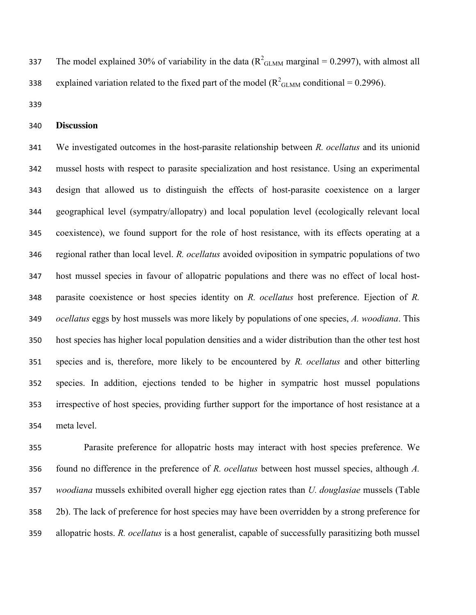337 The model explained 30% of variability in the data  $(R^2_{\text{GLMM}}$  marginal = 0.2997), with almost all explained variation related to the fixed part of the model ( $R^2$ <sub>GLMM</sub> conditional = 0.2996).

### **Discussion**

 We investigated outcomes in the host-parasite relationship between *R. ocellatus* and its unionid mussel hosts with respect to parasite specialization and host resistance. Using an experimental design that allowed us to distinguish the effects of host-parasite coexistence on a larger geographical level (sympatry/allopatry) and local population level (ecologically relevant local coexistence), we found support for the role of host resistance, with its effects operating at a regional rather than local level. *R. ocellatus* avoided oviposition in sympatric populations of two host mussel species in favour of allopatric populations and there was no effect of local host- parasite coexistence or host species identity on *R. ocellatus* host preference. Ejection of *R. ocellatus* eggs by host mussels was more likely by populations of one species, *A. woodiana*. This host species has higher local population densities and a wider distribution than the other test host species and is, therefore, more likely to be encountered by *R. ocellatus* and other bitterling species. In addition, ejections tended to be higher in sympatric host mussel populations irrespective of host species, providing further support for the importance of host resistance at a meta level.

 Parasite preference for allopatric hosts may interact with host species preference. We found no difference in the preference of *R. ocellatus* between host mussel species, although *A. woodiana* mussels exhibited overall higher egg ejection rates than *U. douglasiae* mussels (Table 2b). The lack of preference for host species may have been overridden by a strong preference for allopatric hosts. *R. ocellatus* is a host generalist, capable of successfully parasitizing both mussel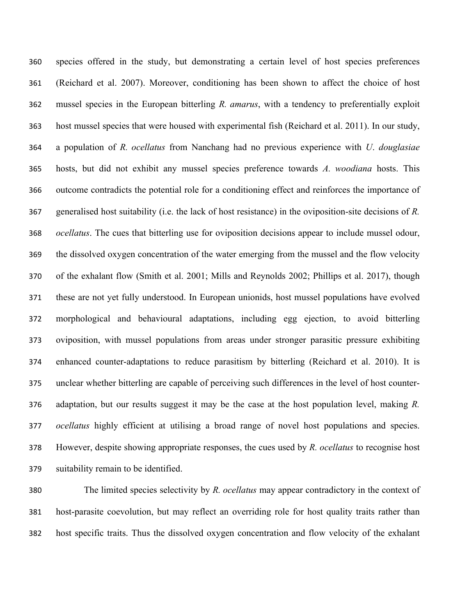species offered in the study, but demonstrating a certain level of host species preferences (Reichard et al. 2007). Moreover, conditioning has been shown to affect the choice of host mussel species in the European bitterling *R. amarus*, with a tendency to preferentially exploit host mussel species that were housed with experimental fish (Reichard et al. 2011). In our study, a population of *R. ocellatus* from Nanchang had no previous experience with *U*. *douglasiae* hosts, but did not exhibit any mussel species preference towards *A. woodiana* hosts. This outcome contradicts the potential role for a conditioning effect and reinforces the importance of generalised host suitability (i.e. the lack of host resistance) in the oviposition-site decisions of *R. ocellatus*. The cues that bitterling use for oviposition decisions appear to include mussel odour, the dissolved oxygen concentration of the water emerging from the mussel and the flow velocity of the exhalant flow (Smith et al. 2001; Mills and Reynolds 2002; Phillips et al. 2017), though these are not yet fully understood. In European unionids, host mussel populations have evolved morphological and behavioural adaptations, including egg ejection, to avoid bitterling oviposition, with mussel populations from areas under stronger parasitic pressure exhibiting enhanced counter-adaptations to reduce parasitism by bitterling (Reichard et al. 2010). It is unclear whether bitterling are capable of perceiving such differences in the level of host counter- adaptation, but our results suggest it may be the case at the host population level, making *R. ocellatus* highly efficient at utilising a broad range of novel host populations and species. However, despite showing appropriate responses, the cues used by *R. ocellatus* to recognise host suitability remain to be identified.

 The limited species selectivity by *R. ocellatus* may appear contradictory in the context of host-parasite coevolution, but may reflect an overriding role for host quality traits rather than host specific traits. Thus the dissolved oxygen concentration and flow velocity of the exhalant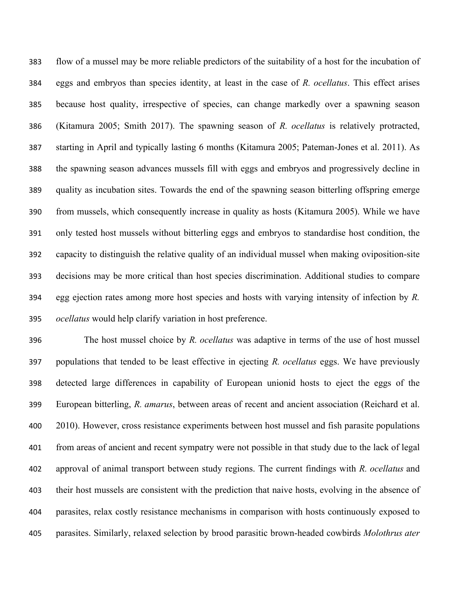flow of a mussel may be more reliable predictors of the suitability of a host for the incubation of eggs and embryos than species identity, at least in the case of *R. ocellatus*. This effect arises because host quality, irrespective of species, can change markedly over a spawning season (Kitamura 2005; Smith 2017). The spawning season of *R. ocellatus* is relatively protracted, starting in April and typically lasting 6 months (Kitamura 2005; Pateman-Jones et al. 2011). As the spawning season advances mussels fill with eggs and embryos and progressively decline in quality as incubation sites. Towards the end of the spawning season bitterling offspring emerge from mussels, which consequently increase in quality as hosts (Kitamura 2005). While we have only tested host mussels without bitterling eggs and embryos to standardise host condition, the capacity to distinguish the relative quality of an individual mussel when making oviposition-site decisions may be more critical than host species discrimination. Additional studies to compare egg ejection rates among more host species and hosts with varying intensity of infection by *R. ocellatus* would help clarify variation in host preference.

 The host mussel choice by *R. ocellatus* was adaptive in terms of the use of host mussel populations that tended to be least effective in ejecting *R. ocellatus* eggs. We have previously detected large differences in capability of European unionid hosts to eject the eggs of the European bitterling, *R. amarus*, between areas of recent and ancient association (Reichard et al. 2010). However, cross resistance experiments between host mussel and fish parasite populations from areas of ancient and recent sympatry were not possible in that study due to the lack of legal approval of animal transport between study regions. The current findings with *R. ocellatus* and their host mussels are consistent with the prediction that naive hosts, evolving in the absence of parasites, relax costly resistance mechanisms in comparison with hosts continuously exposed to parasites. Similarly, relaxed selection by brood parasitic brown-headed cowbirds *Molothrus ater*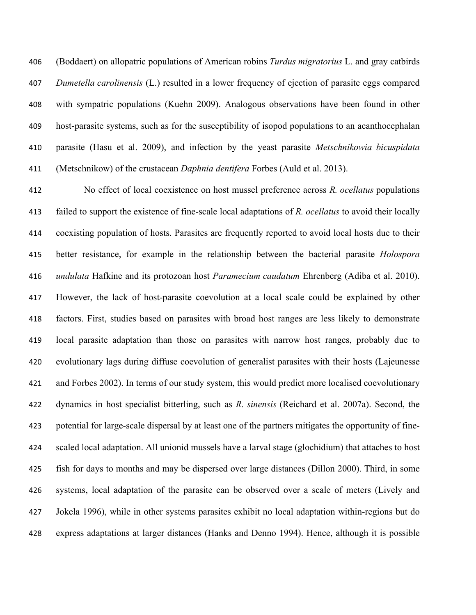(Boddaert) on allopatric populations of American robins *Turdus migratorius* L. and gray catbirds *Dumetella carolinensis* (L.) resulted in a lower frequency of ejection of parasite eggs compared with sympatric populations (Kuehn 2009). Analogous observations have been found in other host-parasite systems, such as for the susceptibility of isopod populations to an acanthocephalan parasite (Hasu et al. 2009), and infection by the yeast parasite *Metschnikowia bicuspidata* (Metschnikow) of the crustacean *Daphnia dentifera* Forbes (Auld et al. 2013).

 No effect of local coexistence on host mussel preference across *R. ocellatus* populations failed to support the existence of fine-scale local adaptations of *R. ocellatus* to avoid their locally coexisting population of hosts. Parasites are frequently reported to avoid local hosts due to their better resistance, for example in the relationship between the bacterial parasite *Holospora undulata* Hafkine and its protozoan host *Paramecium caudatum* Ehrenberg (Adiba et al. 2010). However, the lack of host-parasite coevolution at a local scale could be explained by other factors. First, studies based on parasites with broad host ranges are less likely to demonstrate local parasite adaptation than those on parasites with narrow host ranges, probably due to evolutionary lags during diffuse coevolution of generalist parasites with their hosts (Lajeunesse and Forbes 2002). In terms of our study system, this would predict more localised coevolutionary dynamics in host specialist bitterling, such as *R. sinensis* (Reichard et al. 2007a). Second, the potential for large-scale dispersal by at least one of the partners mitigates the opportunity of fine- scaled local adaptation. All unionid mussels have a larval stage (glochidium) that attaches to host fish for days to months and may be dispersed over large distances (Dillon 2000). Third, in some systems, local adaptation of the parasite can be observed over a scale of meters (Lively and Jokela 1996), while in other systems parasites exhibit no local adaptation within-regions but do express adaptations at larger distances (Hanks and Denno 1994). Hence, although it is possible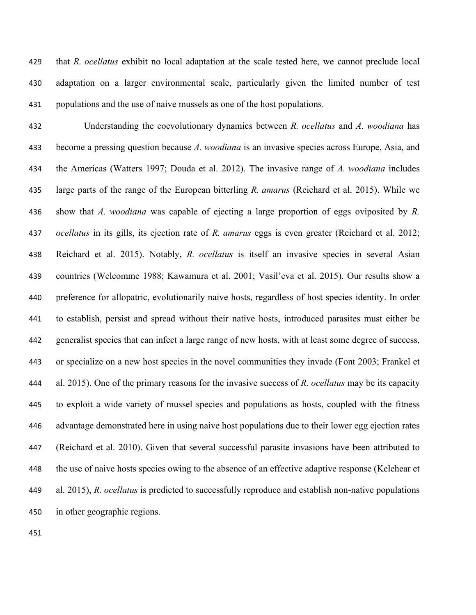that *R. ocellatus* exhibit no local adaptation at the scale tested here, we cannot preclude local adaptation on a larger environmental scale, particularly given the limited number of test populations and the use of naive mussels as one of the host populations.

 Understanding the coevolutionary dynamics between *R. ocellatus* and *A. woodiana* has become a pressing question because *A. woodiana* is an invasive species across Europe, Asia, and the Americas (Watters 1997; Douda et al. 2012). The invasive range of *A. woodiana* includes large parts of the range of the European bitterling *R. amarus* (Reichard et al. 2015). While we show that *A. woodiana* was capable of ejecting a large proportion of eggs oviposited by *R. ocellatus* in its gills, its ejection rate of *R. amarus* eggs is even greater (Reichard et al. 2012; Reichard et al. 2015). Notably, *R. ocellatus* is itself an invasive species in several Asian countries (Welcomme 1988; Kawamura et al. 2001; Vasil'eva et al. 2015). Our results show a preference for allopatric, evolutionarily naive hosts, regardless of host species identity. In order to establish, persist and spread without their native hosts, introduced parasites must either be generalist species that can infect a large range of new hosts, with at least some degree of success, or specialize on a new host species in the novel communities they invade (Font 2003; Frankel et al. 2015). One of the primary reasons for the invasive success of *R. ocellatus* may be its capacity to exploit a wide variety of mussel species and populations as hosts, coupled with the fitness advantage demonstrated here in using naive host populations due to their lower egg ejection rates (Reichard et al. 2010). Given that several successful parasite invasions have been attributed to the use of naive hosts species owing to the absence of an effective adaptive response (Kelehear et al. 2015), *R. ocellatus* is predicted to successfully reproduce and establish non-native populations in other geographic regions.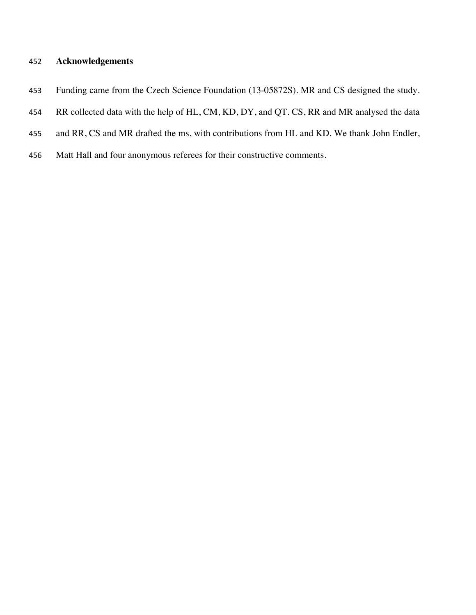## **Acknowledgements**

- Funding came from the Czech Science Foundation (13-05872S). MR and CS designed the study.
- 454 RR collected data with the help of HL, CM, KD, DY, and QT. CS, RR and MR analysed the data
- and RR, CS and MR drafted the ms, with contributions from HL and KD. We thank John Endler,
- Matt Hall and four anonymous referees for their constructive comments.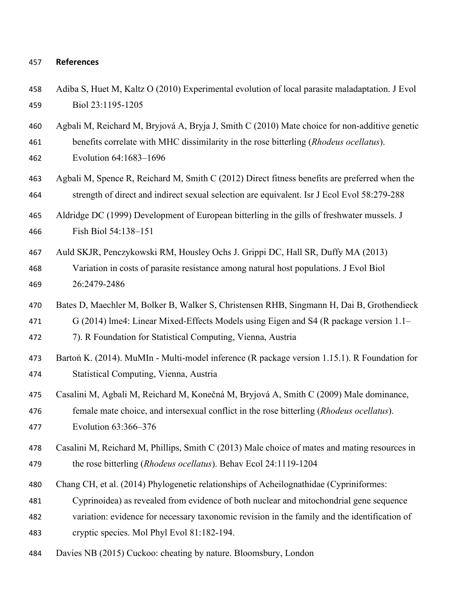#### **References**

 Adiba S, Huet M, Kaltz O (2010) Experimental evolution of local parasite maladaptation. J Evol Biol 23:1195-1205

Agbali M, Reichard M, Bryjová A, Bryja J, Smith C (2010) Mate choice for non-additive genetic

- benefits correlate with MHC dissimilarity in the rose bitterling (*Rhodeus ocellatus*). Evolution 64:1683–1696
- Agbali M, Spence R, Reichard M, Smith C (2012) Direct fitness benefits are preferred when the strength of direct and indirect sexual selection are equivalent. Isr J Ecol Evol 58:279-288
- Aldridge DC (1999) Development of European bitterling in the gills of freshwater mussels. J Fish Biol 54:138–151
- Auld SKJR, Penczykowski RM, Housley Ochs J. Grippi DC, Hall SR, Duffy MA (2013)
- Variation in costs of parasite resistance among natural host populations. J Evol Biol 26:2479-2486
- Bates D, Maechler M, Bolker B, Walker S, Christensen RHB, Singmann H, Dai B, Grothendieck
- G (2014) lme4: Linear Mixed-Effects Models using Eigen and S4 (R package version 1.1–
- 7). R Foundation for Statistical Computing, Vienna, Austria
- Bartoń K. (2014). MuMIn Multi-model inference (R package version 1.15.1). R Foundation for Statistical Computing, Vienna, Austria
- Casalini M, Agbali M, Reichard M, Konečná M, Bryjová A, Smith C (2009) Male dominance,
- female mate choice, and intersexual conflict in the rose bitterling (*Rhodeus ocellatus*).
- Evolution 63:366–376
- Casalini M, Reichard M, Phillips, Smith C (2013) Male choice of mates and mating resources in the rose bitterling (*Rhodeus ocellatus*). Behav Ecol 24:1119-1204
- Chang CH, et al. (2014) Phylogenetic relationships of Acheilognathidae (Cypriniformes:
- Cyprinoidea) as revealed from evidence of both nuclear and mitochondrial gene sequence
- variation: evidence for necessary taxonomic revision in the family and the identification of
- cryptic species. Mol Phyl Evol 81:182-194.
- Davies NB (2015) Cuckoo: cheating by nature. Bloomsbury, London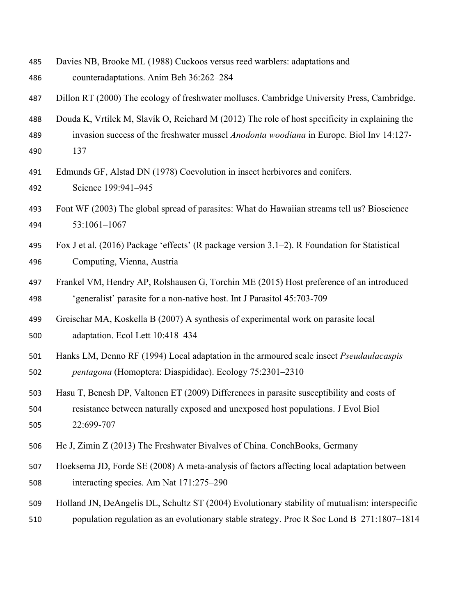- Davies NB, Brooke ML (1988) Cuckoos versus reed warblers: adaptations and
- counteradaptations. Anim Beh 36:262–284

Dillon RT (2000) The ecology of freshwater molluscs. Cambridge University Press, Cambridge.

- Douda K, Vrtílek M, Slavík O, Reichard M (2012) The role of host specificity in explaining the invasion success of the freshwater mussel *Anodonta woodiana* in Europe. Biol Inv 14:127-
- 137
- Edmunds GF, Alstad DN (1978) Coevolution in insect herbivores and conifers. Science 199:941–945
- Font WF (2003) The global spread of parasites: What do Hawaiian streams tell us? Bioscience 53:1061–1067
- Fox J et al. (2016) Package 'effects' (R package version 3.1–2). R Foundation for Statistical Computing, Vienna, Austria
- Frankel VM, Hendry AP, Rolshausen G, Torchin ME (2015) Host preference of an introduced 'generalist' parasite for a non-native host. Int J Parasitol 45:703-709
- Greischar MA, Koskella B (2007) A synthesis of experimental work on parasite local adaptation. Ecol Lett 10:418–434
- Hanks LM, Denno RF (1994) Local adaptation in the armoured scale insect *Pseudaulacaspis pentagona* (Homoptera: Diaspididae). Ecology 75:2301–2310
- Hasu T, Benesh DP, Valtonen ET (2009) Differences in parasite susceptibility and costs of resistance between naturally exposed and unexposed host populations. J Evol Biol 22:699-707
- He J, Zimin Z (2013) The Freshwater Bivalves of China. ConchBooks, Germany
- Hoeksema JD, Forde SE (2008) A meta-analysis of factors affecting local adaptation between interacting species. Am Nat 171:275–290
- Holland JN, DeAngelis DL, Schultz ST (2004) Evolutionary stability of mutualism: interspecific
- population regulation as an evolutionary stable strategy. Proc R Soc Lond B 271:1807–1814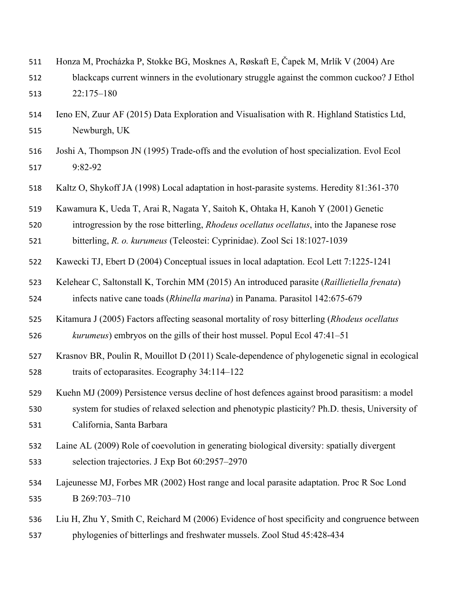- Honza M, Procházka P, Stokke BG, Mosknes A, Røskaft E, Čapek M, Mrlík V (2004) Are
- blackcaps current winners in the evolutionary struggle against the common cuckoo? J Ethol 22:175–180
- Ieno EN, Zuur AF (2015) Data Exploration and Visualisation with R. Highland Statistics Ltd, Newburgh, UK
- Joshi A, Thompson JN (1995) Trade-offs and the evolution of host specialization. Evol Ecol 9:82-92
- Kaltz O, Shykoff JA (1998) Local adaptation in host-parasite systems. Heredity 81:361-370

Kawamura K, Ueda T, Arai R, Nagata Y, Saitoh K, Ohtaka H, Kanoh Y (2001) Genetic

introgression by the rose bitterling, *Rhodeus ocellatus ocellatus*, into the Japanese rose

bitterling, *R. o. kurumeus* (Teleostei: Cyprinidae). Zool Sci 18:1027-1039

- Kawecki TJ, Ebert D (2004) Conceptual issues in local adaptation. Ecol Lett 7:1225-1241
- Kelehear C, Saltonstall K, Torchin MM (2015) An introduced parasite (*Raillietiella frenata*) infects native cane toads (*Rhinella marina*) in Panama. Parasitol 142:675-679
- Kitamura J (2005) Factors affecting seasonal mortality of rosy bitterling (*Rhodeus ocellatus kurumeus*) embryos on the gills of their host mussel. Popul Ecol 47:41–51
- Krasnov BR, Poulin R, Mouillot D (2011) Scale-dependence of phylogenetic signal in ecological traits of ectoparasites. Ecography 34:114–122
- Kuehn MJ (2009) Persistence versus decline of host defences against brood parasitism: a model
- system for studies of relaxed selection and phenotypic plasticity? Ph.D. thesis, University of California, Santa Barbara
- Laine AL (2009) Role of coevolution in generating biological diversity: spatially divergent selection trajectories. J Exp Bot 60:2957–2970
- Lajeunesse MJ, Forbes MR (2002) Host range and local parasite adaptation. Proc R Soc Lond B 269:703–710
- Liu H, Zhu Y, Smith C, Reichard M (2006) Evidence of host specificity and congruence between phylogenies of bitterlings and freshwater mussels. Zool Stud 45:428-434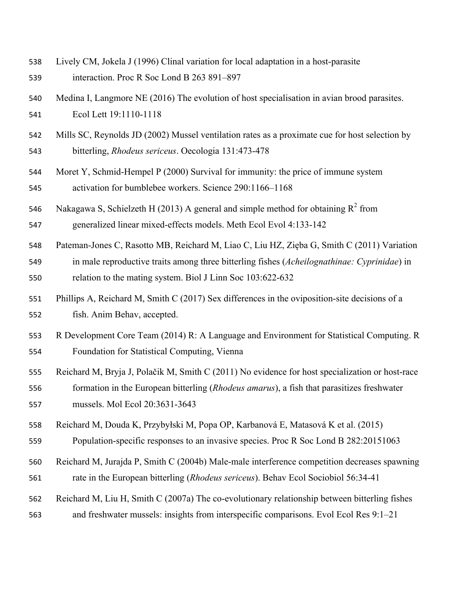- Lively CM, Jokela J (1996) Clinal variation for local adaptation in a host-parasite interaction. Proc R Soc Lond B 263 891–897
- Medina I, Langmore NE (2016) The evolution of host specialisation in avian brood parasites.

Ecol Lett 19:1110-1118

- Mills SC, Reynolds JD (2002) Mussel ventilation rates as a proximate cue for host selection by bitterling, *Rhodeus sericeus*. Oecologia 131:473-478
- Moret Y, Schmid-Hempel P (2000) Survival for immunity: the price of immune system activation for bumblebee workers. Science 290:1166–1168
- 546 Nakagawa S, Schielzeth H (2013) A general and simple method for obtaining  $R^2$  from generalized linear mixed-effects models. Meth Ecol Evol 4:133-142
- Pateman-Jones C, Rasotto MB, Reichard M, Liao C, Liu HZ, Zięba G, Smith C (2011) Variation in male reproductive traits among three bitterling fishes (*Acheilognathinae: Cyprinidae*) in relation to the mating system. Biol J Linn Soc 103:622-632
- Phillips A, Reichard M, Smith C (2017) Sex differences in the oviposition-site decisions of a fish. Anim Behav, accepted.
- R Development Core Team (2014) R: A Language and Environment for Statistical Computing. R Foundation for Statistical Computing, Vienna
- Reichard M, Bryja J, Polačik M, Smith C (2011) No evidence for host specialization or host-race formation in the European bitterling (*Rhodeus amarus*), a fish that parasitizes freshwater mussels. Mol Ecol 20:3631-3643
- Reichard M, Douda K, Przybyłski M, Popa OP, Karbanová E, Matasová K et al. (2015) Population-specific responses to an invasive species. Proc R Soc Lond B 282:20151063
- Reichard M, Jurajda P, Smith C (2004b) Male-male interference competition decreases spawning rate in the European bitterling (*Rhodeus sericeus*). Behav Ecol Sociobiol 56:34-41
- Reichard M, Liu H, Smith C (2007a) The co-evolutionary relationship between bitterling fishes
- and freshwater mussels: insights from interspecific comparisons. Evol Ecol Res 9:1–21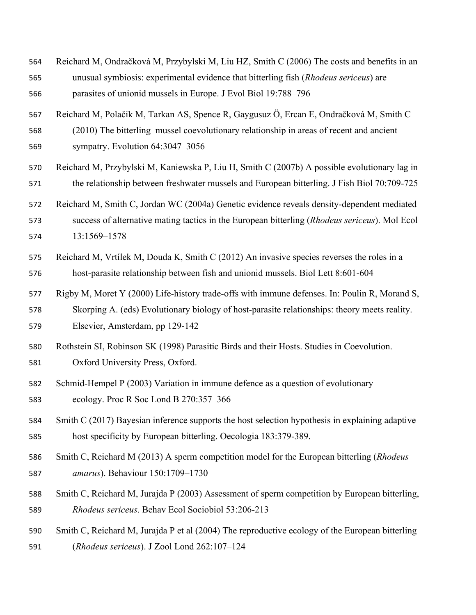- Reichard M, Ondračková M, Przybylski M, Liu HZ, Smith C (2006) The costs and benefits in an unusual symbiosis: experimental evidence that bitterling fish (*Rhodeus sericeus*) are parasites of unionid mussels in Europe. J Evol Biol 19:788–796 Reichard M, Polačik M, Tarkan AS, Spence R, Gaygusuz Ö, Ercan E, Ondračková M, Smith C (2010) The bitterling–mussel coevolutionary relationship in areas of recent and ancient sympatry. Evolution 64:3047–3056 Reichard M, Przybylski M, Kaniewska P, Liu H, Smith C (2007b) A possible evolutionary lag in the relationship between freshwater mussels and European bitterling. J Fish Biol 70:709-725 Reichard M, Smith C, Jordan WC (2004a) Genetic evidence reveals density-dependent mediated success of alternative mating tactics in the European bitterling (*Rhodeus sericeus*). Mol Ecol 13:1569–1578 Reichard M, Vrtílek M, Douda K, Smith C (2012) An invasive species reverses the roles in a host-parasite relationship between fish and unionid mussels. Biol Lett 8:601-604 Rigby M, Moret Y (2000) Life-history trade-offs with immune defenses. In: Poulin R, Morand S, Skorping A. (eds) Evolutionary biology of host-parasite relationships: theory meets reality. Elsevier, Amsterdam, pp 129-142 Rothstein SI, Robinson SK (1998) Parasitic Birds and their Hosts. Studies in Coevolution. Oxford University Press, Oxford. Schmid-Hempel P (2003) Variation in immune defence as a question of evolutionary ecology. Proc R Soc Lond B 270:357–366 Smith C (2017) Bayesian inference supports the host selection hypothesis in explaining adaptive
- host specificity by European bitterling. Oecologia 183:379-389.
- Smith C, Reichard M (2013) A sperm competition model for the European bitterling (*Rhodeus amarus*). Behaviour 150:1709–1730
- Smith C, Reichard M, Jurajda P (2003) Assessment of sperm competition by European bitterling, *Rhodeus sericeus*. Behav Ecol Sociobiol 53:206-213
- Smith C, Reichard M, Jurajda P et al (2004) The reproductive ecology of the European bitterling
- (*Rhodeus sericeus*). J Zool Lond 262:107–124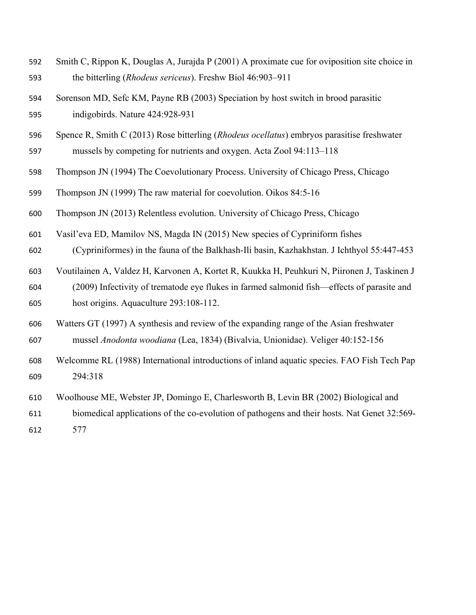- Smith C, Rippon K, Douglas A, Jurajda P (2001) A proximate cue for oviposition site choice in the bitterling (*Rhodeus sericeus*). Freshw Biol 46:903–911
- Sorenson MD, Sefc KM, Payne RB (2003) Speciation by host switch in brood parasitic indigobirds. Nature 424:928-931
- Spence R, Smith C (2013) Rose bitterling (*Rhodeus ocellatus*) embryos parasitise freshwater mussels by competing for nutrients and oxygen. Acta Zool 94:113–118
- Thompson JN (1994) The Coevolutionary Process. University of Chicago Press, Chicago
- Thompson JN (1999) The raw material for coevolution. Oikos 84:5-16
- Thompson JN (2013) Relentless evolution. University of Chicago Press, Chicago
- Vasil'eva ED, Mamilov NS, Magda IN (2015) New species of Cypriniform fishes
- (Cypriniformes) in the fauna of the Balkhash-Ili basin, Kazhakhstan. J Ichthyol 55:447-453
- Voutilainen A, Valdez H, Karvonen A, Kortet R, Kuukka H, Peuhkuri N, Piironen J, Taskinen J (2009) Infectivity of trematode eye flukes in farmed salmonid fish—effects of parasite and host origins. Aquaculture 293:108-112.
- Watters GT (1997) A synthesis and review of the expanding range of the Asian freshwater mussel *Anodonta woodiana* (Lea, 1834) (Bivalvia, Unionidae). Veliger 40:152-156
- Welcomme RL (1988) International introductions of inland aquatic species. FAO Fish Tech Pap 294:318
- Woolhouse ME, Webster JP, Domingo E, Charlesworth B, Levin BR (2002) Biological and
- biomedical applications of the co-evolution of pathogens and their hosts. Nat Genet 32:569-
- 577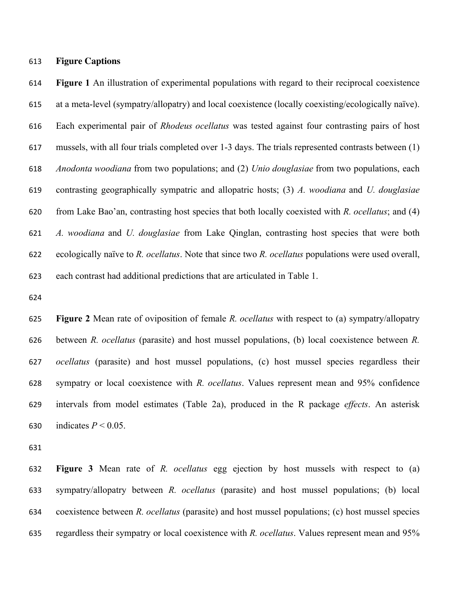#### **Figure Captions**

 **Figure 1** An illustration of experimental populations with regard to their reciprocal coexistence at a meta-level (sympatry/allopatry) and local coexistence (locally coexisting/ecologically naïve). Each experimental pair of *Rhodeus ocellatus* was tested against four contrasting pairs of host mussels, with all four trials completed over 1-3 days. The trials represented contrasts between (1) *Anodonta woodiana* from two populations; and (2) *Unio douglasiae* from two populations, each contrasting geographically sympatric and allopatric hosts; (3) *A. woodiana* and *U. douglasiae* from Lake Bao'an, contrasting host species that both locally coexisted with *R. ocellatus*; and (4) *A. woodiana* and *U. douglasiae* from Lake Qinglan, contrasting host species that were both ecologically naïve to *R. ocellatus*. Note that since two *R. ocellatus* populations were used overall, each contrast had additional predictions that are articulated in Table 1.

 **Figure 2** Mean rate of oviposition of female *R. ocellatus* with respect to (a) sympatry/allopatry between *R. ocellatus* (parasite) and host mussel populations, (b) local coexistence between *R. ocellatus* (parasite) and host mussel populations, (c) host mussel species regardless their sympatry or local coexistence with *R. ocellatus*. Values represent mean and 95% confidence intervals from model estimates (Table 2a), produced in the R package *effects*. An asterisk 630 indicates  $P < 0.05$ .

 **Figure 3** Mean rate of *R. ocellatus* egg ejection by host mussels with respect to (a) sympatry/allopatry between *R. ocellatus* (parasite) and host mussel populations; (b) local coexistence between *R. ocellatus* (parasite) and host mussel populations; (c) host mussel species regardless their sympatry or local coexistence with *R. ocellatus*. Values represent mean and 95%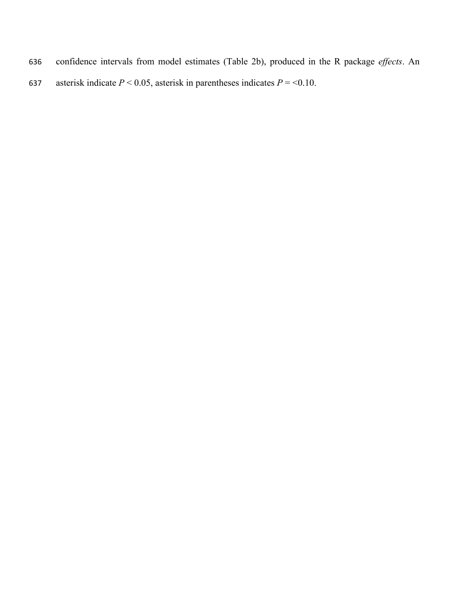- 636 confidence intervals from model estimates (Table 2b), produced in the R package *effects*. An
- 637 asterisk indicate  $P < 0.05$ , asterisk in parentheses indicates  $P = < 0.10$ .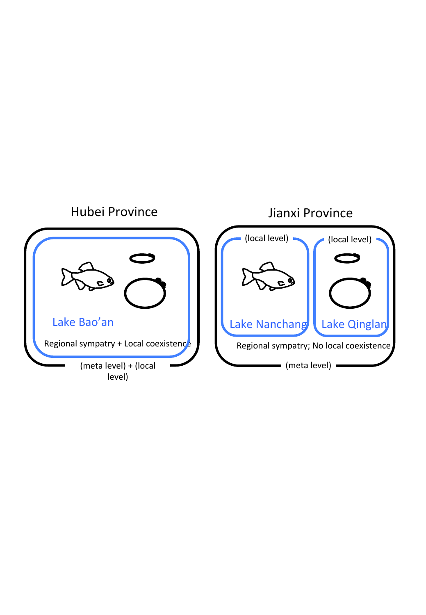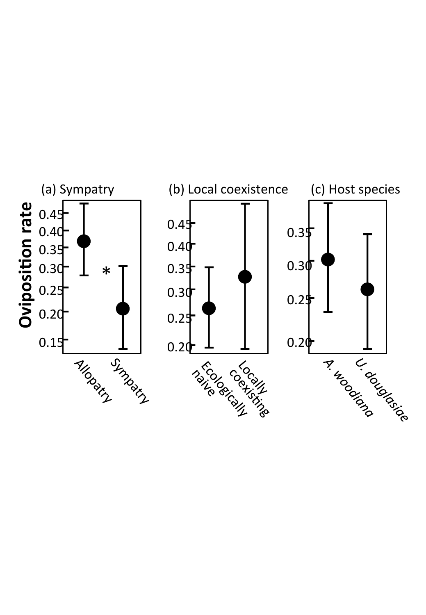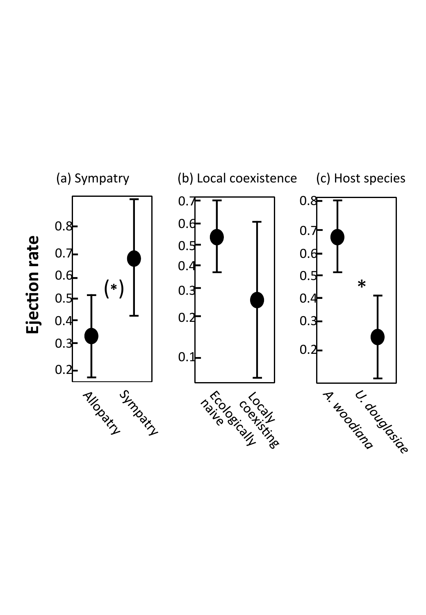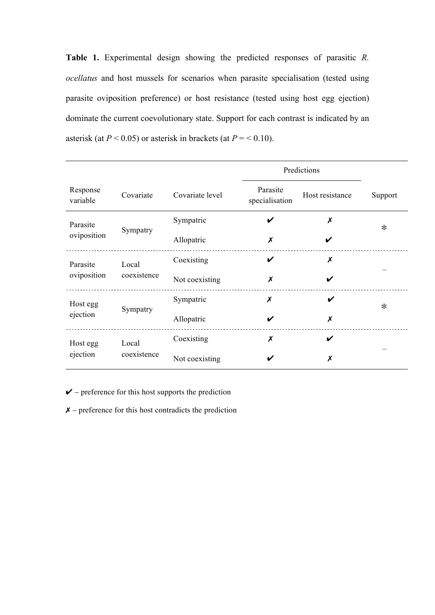**Table 1.** Experimental design showing the predicted responses of parasitic *R. ocellatus* and host mussels for scenarios when parasite specialisation (tested using parasite oviposition preference) or host resistance (tested using host egg ejection) dominate the current coevolutionary state. Support for each contrast is indicated by an asterisk (at  $P < 0.05$ ) or asterisk in brackets (at  $P = < 0.10$ ).

|                      |                      |                 | Predictions                |                           |         |  |
|----------------------|----------------------|-----------------|----------------------------|---------------------------|---------|--|
| Response<br>variable | Covariate            | Covariate level | Parasite<br>specialisation | Host resistance           | Support |  |
| Parasite             |                      | Sympatric       | V                          | $\boldsymbol{\mathsf{x}}$ | $\ast$  |  |
| oviposition          | Sympatry             | Allopatric      | X                          |                           |         |  |
| Parasite             | Local<br>coexistence | Coexisting      | V                          | X                         |         |  |
| oviposition          |                      | Not coexisting  | X                          |                           |         |  |
| Host egg             | Sympatry             | Sympatric       | X                          | V                         | $\ast$  |  |
| ejection             |                      | Allopatric      | V                          | X                         |         |  |
| Host egg             | Local<br>coexistence | Coexisting      | X                          | V                         |         |  |
| ejection             |                      | Not coexisting  |                            | X                         |         |  |

 $\checkmark$  – preference for this host supports the prediction

 $X$  – preference for this host contradicts the prediction